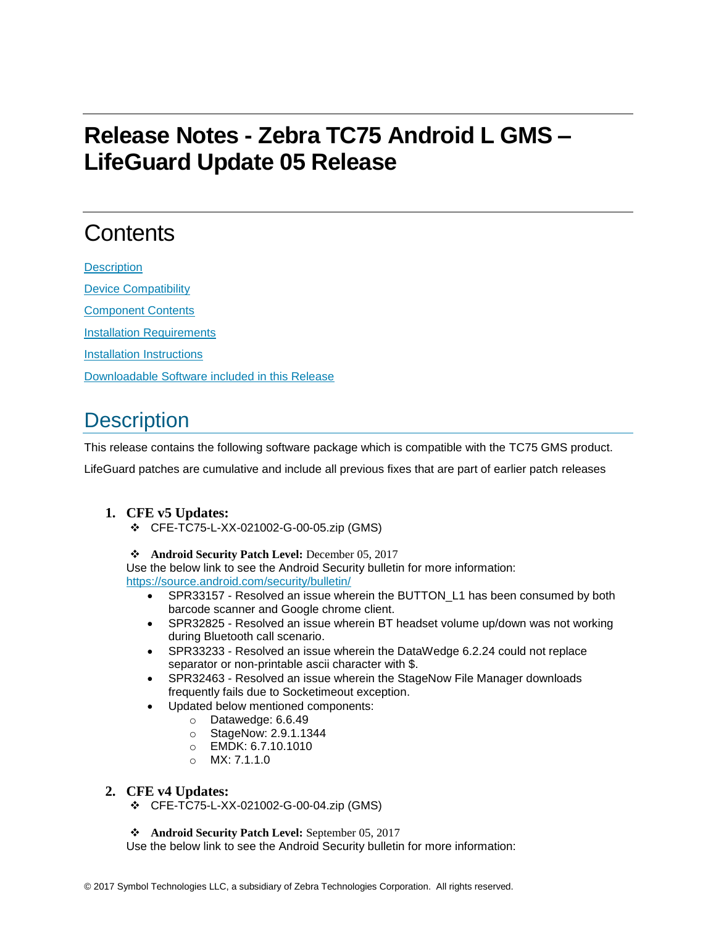# **Release Notes - Zebra TC75 Android L GMS – LifeGuard Update 05 Release**

## **Contents**

**[Description](#page-0-0)** [Device Compatibility](#page-2-0) [Component Contents](#page-2-1) [Installation Requirements](#page-2-2) [Installation Instructions](#page-2-3) [Downloadable Software included in this Release](#page-3-0)

### <span id="page-0-0"></span>**Description**

This release contains the following software package which is compatible with the TC75 GMS product.

LifeGuard patches are cumulative and include all previous fixes that are part of earlier patch releases

### **1. CFE v5 Updates:**

- ❖ CFE-TC75-L-XX-021002-G-00-05.zip (GMS)
- ❖ **Android Security Patch Level:** December 05, 2017

Use the below link to see the Android Security bulletin for more information: <https://source.android.com/security/bulletin/>

- SPR33157 Resolved an issue wherein the BUTTON\_L1 has been consumed by both barcode scanner and Google chrome client.
- SPR32825 Resolved an issue wherein BT headset volume up/down was not working during Bluetooth call scenario.
- SPR33233 Resolved an issue wherein the DataWedge 6.2.24 could not replace separator or non-printable ascii character with \$.
- SPR32463 Resolved an issue wherein the StageNow File Manager downloads frequently fails due to Socketimeout exception.
- Updated below mentioned components:
	- o Datawedge: 6.6.49
	- o StageNow: 2.9.1.1344
	- o EMDK: 6.7.10.1010
	- o MX: 7.1.1.0

#### **2. CFE v4 Updates:**

❖ CFE-TC75-L-XX-021002-G-00-04.zip (GMS)

❖ **Android Security Patch Level:** September 05, 2017

Use the below link to see the Android Security bulletin for more information: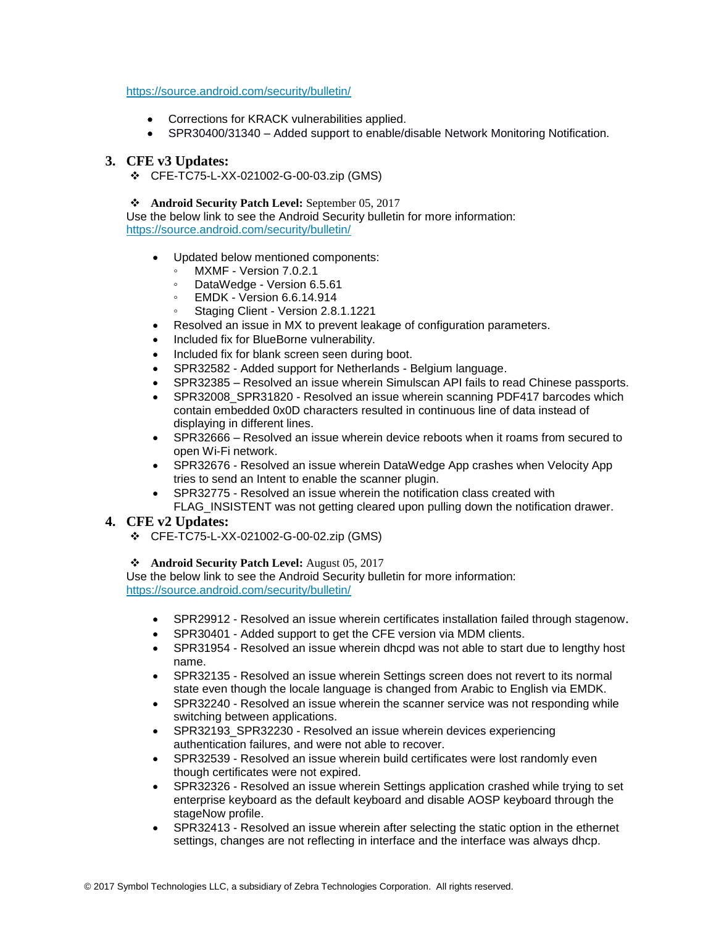#### <https://source.android.com/security/bulletin/>

- Corrections for KRACK vulnerabilities applied.
- SPR30400/31340 Added support to enable/disable Network Monitoring Notification.

#### **3. CFE v3 Updates:**

❖ CFE-TC75-L-XX-021002-G-00-03.zip (GMS)

❖ **Android Security Patch Level:** September 05, 2017

Use the below link to see the Android Security bulletin for more information: <https://source.android.com/security/bulletin/>

- Updated below mentioned components:
	- MXMF Version 7.0.2.1
	- DataWedge Version 6.5.61
	- EMDK Version 6.6.14.914
	- Staging Client Version 2.8.1.1221
- Resolved an issue in MX to prevent leakage of configuration parameters.
- Included fix for BlueBorne vulnerability.
- Included fix for blank screen seen during boot.
- SPR32582 Added support for Netherlands Belgium language.
- SPR32385 Resolved an issue wherein Simulscan API fails to read Chinese passports.
- SPR32008 SPR31820 Resolved an issue wherein scanning PDF417 barcodes which contain embedded 0x0D characters resulted in continuous line of data instead of displaying in different lines.
- SPR32666 Resolved an issue wherein device reboots when it roams from secured to open Wi-Fi network.
- SPR32676 Resolved an issue wherein DataWedge App crashes when Velocity App tries to send an Intent to enable the scanner plugin.
- SPR32775 Resolved an issue wherein the notification class created with FLAG INSISTENT was not getting cleared upon pulling down the notification drawer.

#### **4. CFE v2 Updates:**

❖ CFE-TC75-L-XX-021002-G-00-02.zip (GMS)

❖ **Android Security Patch Level:** August 05, 2017

Use the below link to see the Android Security bulletin for more information: <https://source.android.com/security/bulletin/>

- SPR29912 Resolved an issue wherein certificates installation failed through stagenow.
- SPR30401 Added support to get the CFE version via MDM clients.
- SPR31954 Resolved an issue wherein dhcpd was not able to start due to lengthy host name.
- SPR32135 Resolved an issue wherein Settings screen does not revert to its normal state even though the locale language is changed from Arabic to English via EMDK.
- SPR32240 Resolved an issue wherein the scanner service was not responding while switching between applications.
- SPR32193\_SPR32230 Resolved an issue wherein devices experiencing authentication failures, and were not able to recover.
- SPR32539 Resolved an issue wherein build certificates were lost randomly even though certificates were not expired.
- SPR32326 Resolved an issue wherein Settings application crashed while trying to set enterprise keyboard as the default keyboard and disable AOSP keyboard through the stageNow profile.
- SPR32413 Resolved an issue wherein after selecting the static option in the ethernet settings, changes are not reflecting in interface and the interface was always dhcp.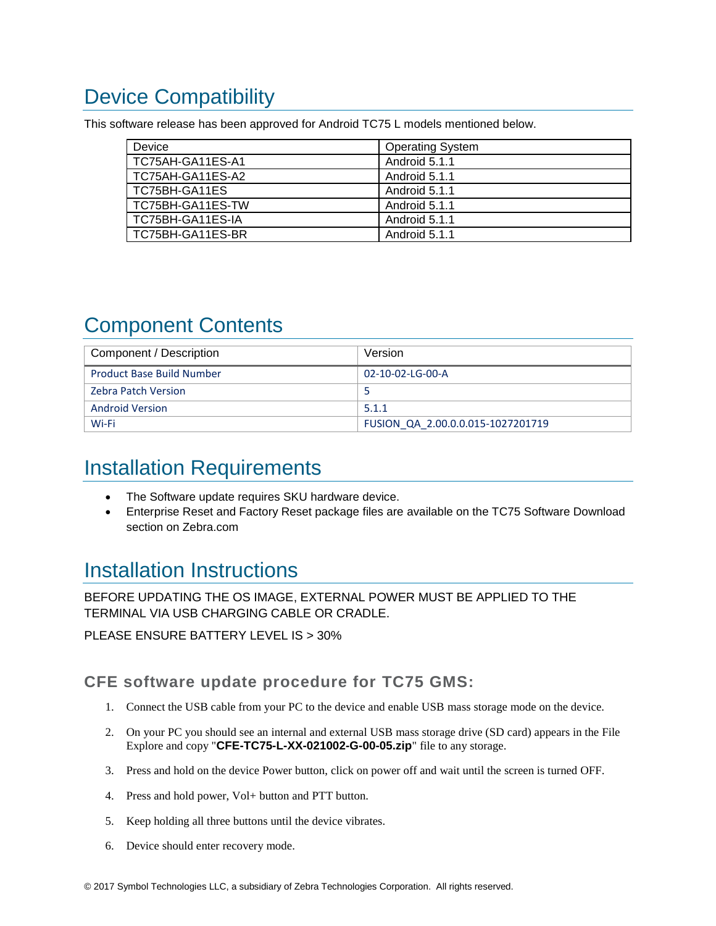## <span id="page-2-0"></span>Device Compatibility

This software release has been approved for Android TC75 L models mentioned below.

| Device           | <b>Operating System</b> |
|------------------|-------------------------|
| TC75AH-GA11ES-A1 | Android 5.1.1           |
| TC75AH-GA11ES-A2 | Android 5.1.1           |
| TC75BH-GA11ES    | Android 5.1.1           |
| TC75BH-GA11ES-TW | Android 5.1.1           |
| TC75BH-GA11ES-IA | Android 5.1.1           |
| TC75BH-GA11ES-BR | Android 5.1.1           |

## <span id="page-2-1"></span>Component Contents

| Component / Description          | Version                           |
|----------------------------------|-----------------------------------|
| <b>Product Base Build Number</b> | 02-10-02-LG-00-A                  |
| <b>Zebra Patch Version</b>       |                                   |
| <b>Android Version</b>           | 5.1.1                             |
| Wi-Fi                            | FUSION QA 2.00.0.0.015-1027201719 |

## <span id="page-2-2"></span>Installation Requirements

- The Software update requires SKU hardware device.
- Enterprise Reset and Factory Reset package files are available on the TC75 Software Download section on Zebra.com

### <span id="page-2-3"></span>Installation Instructions

BEFORE UPDATING THE OS IMAGE, EXTERNAL POWER MUST BE APPLIED TO THE TERMINAL VIA USB CHARGING CABLE OR CRADLE.

PLEASE ENSURE BATTERY LEVEL IS > 30%

CFE software update procedure for TC75 GMS:

- 1. Connect the USB cable from your PC to the device and enable USB mass storage mode on the device.
- 2. On your PC you should see an internal and external USB mass storage drive (SD card) appears in the File Explore and copy "**CFE-TC75-L-XX-021002-G-00-05.zip**" file to any storage.
- 3. Press and hold on the device Power button, click on power off and wait until the screen is turned OFF.
- 4. Press and hold power, Vol+ button and PTT button.
- 5. Keep holding all three buttons until the device vibrates.
- 6. Device should enter recovery mode.